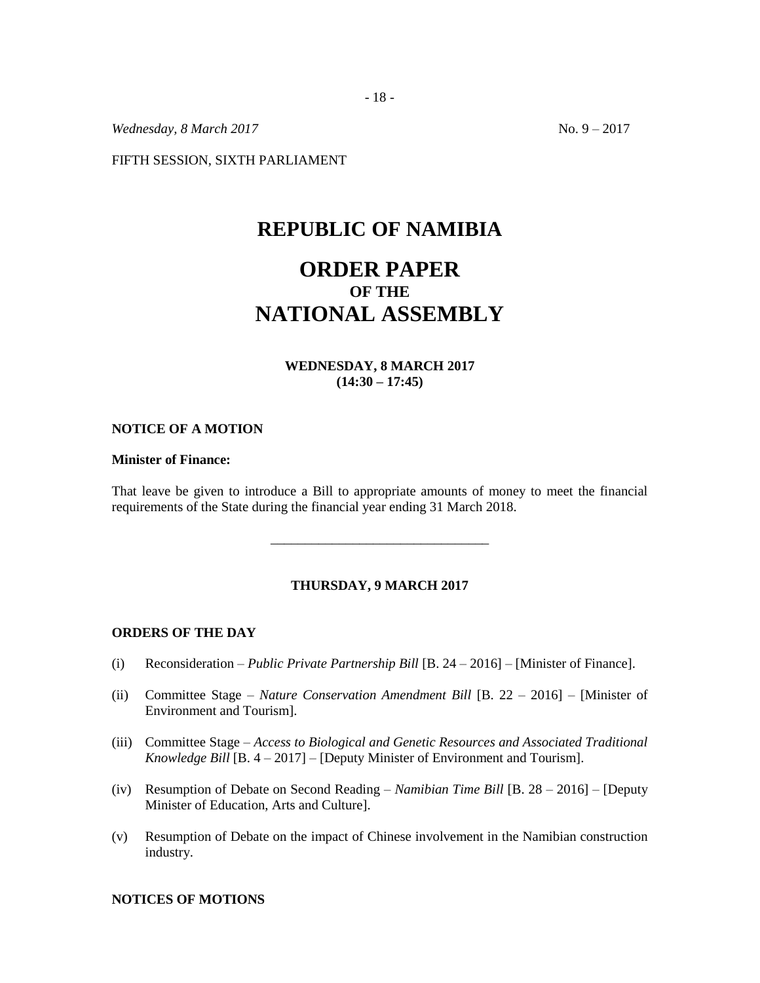*Wednesday, 8 March 2017* No. 9 – 2017

FIFTH SESSION, SIXTH PARLIAMENT

# **REPUBLIC OF NAMIBIA**

# **ORDER PAPER OF THE NATIONAL ASSEMBLY**

## **WEDNESDAY, 8 MARCH 2017 (14:30 – 17:45)**

#### **NOTICE OF A MOTION**

### **Minister of Finance:**

That leave be given to introduce a Bill to appropriate amounts of money to meet the financial requirements of the State during the financial year ending 31 March 2018.

\_\_\_\_\_\_\_\_\_\_\_\_\_\_\_\_\_\_\_\_\_\_\_\_\_\_\_\_\_\_\_\_

#### **THURSDAY, 9 MARCH 2017**

#### **ORDERS OF THE DAY**

- (i) Reconsideration *– Public Private Partnership Bill* [B. 24 2016] [Minister of Finance].
- (ii) Committee Stage *Nature Conservation Amendment Bill* [B. 22 2016] [Minister of Environment and Tourism].
- (iii) Committee Stage *Access to Biological and Genetic Resources and Associated Traditional Knowledge Bill* [B. 4 – 2017] – [Deputy Minister of Environment and Tourism].
- (iv) Resumption of Debate on Second Reading *Namibian Time Bill* [B. 28 2016] [Deputy Minister of Education, Arts and Culture].
- (v) Resumption of Debate on the impact of Chinese involvement in the Namibian construction industry.

#### **NOTICES OF MOTIONS**